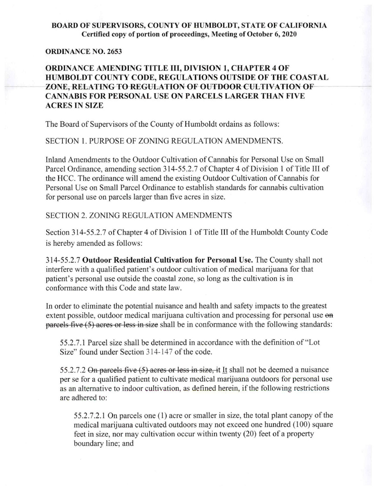## BOARD OF SUPERVISORS, COUNTY OF HUMBOLDT, STATE OF CALIFORNIA Certified copy of portion of proceedings, Meeting of October 6,2020

## ORDINANCE NO. 2653

## ORDINANCE AMENDING TITLE III, DIVISION 1, CHAPTER 4 OF HUMBOLDT COUNTY CODE, REGULATIONS OUTSIDE OF THE COASTAL ZONE, RELATING TO REGULATION OF OUTDOOR CULTIVATION OF CANNABIS FOR PERSONAL USE ON PARCELS LARGER THAN FIVE ACRES IN SIZE

The Board of Supervisors of the County of Humboldt ordains as follows:

SECTION 1. PURPOSE OF ZONING REGULATION AMENDMENTS.

Inland Amendments to the Outdoor Cultivation of Cannabis for Personal Use on Small Parcel Ordinance, amending section 314-55.2.7 of Chapter 4 of Division I of Title III of the HCC. The ordinance will amend the existing Outdoor Cultivation of Cannabis for Personal Use on Small Parcel Ordinance to establish standards for cannabis cultivation for personal use on parcels larger than five acres in size.

## SECTION 2. ZONING REGULATION AMENDMENTS

Section 314-55.2.7 of Chapter 4 of Division 1 of Title III of the Humboldt County Code is hereby amended as follows:

314-55.2.7 Outdoor Residential Cultivation for Personal Use. The County shall not interfere with a qualified patient's outdoor cultivation of medical marijuana for that patient's personal use outside the coastal zone, so long as the cultivation is in conformance with this Code and state law.

In order to eliminate the potential nuisance and health and safety impacts to the greatest extent possible, outdoor medical marijuana cultivation and processing for personal use en parcels five (5) acres or less in size shall be in conformance with the following standards:

55.2.7.1 Parcel size shall be determined in accordance with the definition of "Lot Size" found under Section 314-147 of the code.

55.2.7.2 On parcels five (5) acres or less in size, it It shall not be deemed a nuisance per se for a qualified patient to cultivate medical marijuana outdoors for personal use as an alternative to indoor cultivation, as defined herein, if the following restrictions are adhered to:

55.2.7.2.1 On parcels one (1) acre or smaller in size, the total plant canopy of the medical marijuana cultivated outdoors may not exceed one hundred (100) square feet in size, nor may cultivation occur within twenty (20) feet of a property boundary line; and